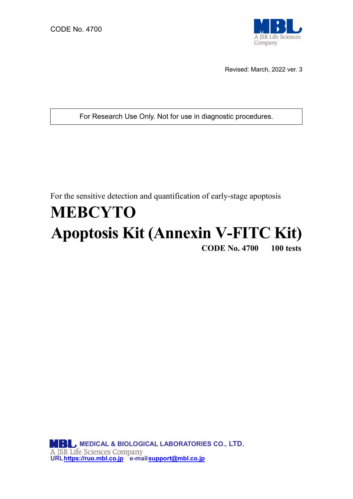

Revised: March, 2022 ver. 3

For Research Use Only. Not for use in diagnostic procedures.

For the sensitive detection and quantification of early-stage apoptosis

# **MEBCYTO Apoptosis Kit (Annexin V-FITC Kit)CODE No. 4700 100 tests**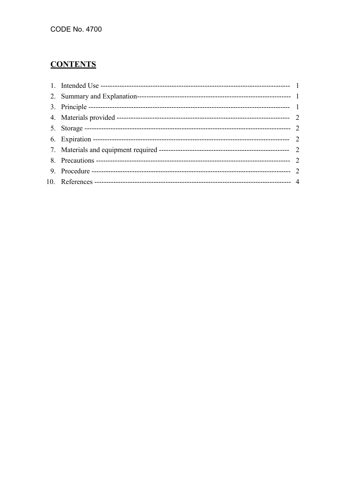# **CONTENTS**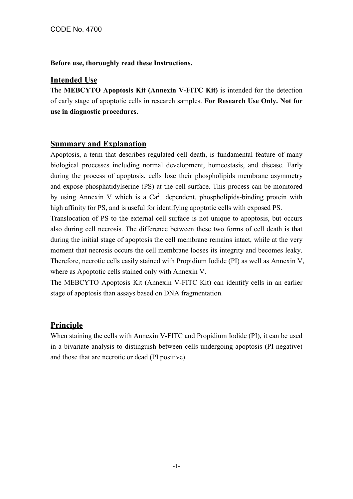**Before use, thoroughly read these Instructions.**

# **Intended Use**

The **MEBCYTO Apoptosis Kit (Annexin V-FITC Kit)** is intended for the detection of early stage of apoptotic cells in research samples. **For Research Use Only. Not for use in diagnostic procedures.**

# **Summary and Explanation**

Apoptosis, a term that describes regulated cell death, is fundamental feature of many biological processes including normal development, homeostasis, and disease. Early during the process of apoptosis, cells lose their phospholipids membrane asymmetry and expose phosphatidylserine (PS) at the cell surface. This process can be monitored by using Annexin V which is a  $Ca^{2+}$  dependent, phospholipids-binding protein with high affinity for PS, and is useful for identifying apoptotic cells with exposed PS.

Translocation of PS to the external cell surface is not unique to apoptosis, but occurs also during cell necrosis. The difference between these two forms of cell death is that during the initial stage of apoptosis the cell membrane remains intact, while at the very moment that necrosis occurs the cell membrane looses its integrity and becomes leaky. Therefore, necrotic cells easily stained with Propidium Iodide (PI) as well as Annexin V, where as Apoptotic cells stained only with Annexin V.

The MEBCYTO Apoptosis Kit (Annexin V-FITC Kit) can identify cells in an earlier stage of apoptosis than assays based on DNA fragmentation.

# **Principle**

When staining the cells with Annexin V-FITC and Propidium Iodide (PI), it can be used in a bivariate analysis to distinguish between cells undergoing apoptosis (PI negative) and those that are necrotic or dead (PI positive).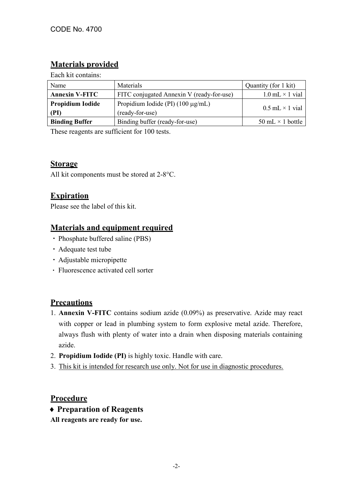# **Materials provided**

Each kit contains:

| Name                            | <b>Materials</b>                                          | Quantity (for 1 kit)     |
|---------------------------------|-----------------------------------------------------------|--------------------------|
| <b>Annexin V-FITC</b>           | FITC conjugated Annexin V (ready-for-use)                 | $1.0$ mL $\times$ 1 vial |
| <b>Propidium Iodide</b><br>(PI) | Propidium Iodide (PI) $(100 \mu g/mL)$<br>(ready-for-use) | $0.5$ mL $\times$ 1 vial |
| <b>Binding Buffer</b>           | Binding buffer (ready-for-use)                            | 50 mL $\times$ 1 bottle  |

These reagents are sufficient for 100 tests.

# **Storage**

All kit components must be stored at 2-8°C.

# **Expiration**

Please see the label of this kit.

# **Materials and equipment required**

- ・Phosphate buffered saline (PBS)
- ・Adequate test tube
- ・Adjustable micropipette
- ・ Fluorescence activated cell sorter

# **Precautions**

- 1. **Annexin V-FITC** contains sodium azide (0.09%) as preservative. Azide may react with copper or lead in plumbing system to form explosive metal azide. Therefore, always flush with plenty of water into a drain when disposing materials containing azide.
- 2. **Propidium Iodide (PI)** is highly toxic. Handle with care.
- 3. This kit is intended for research use only. Not for use in diagnostic procedures.

# **Procedure**

- ♦ **Preparation of Reagents**
- **All reagents are ready for use.**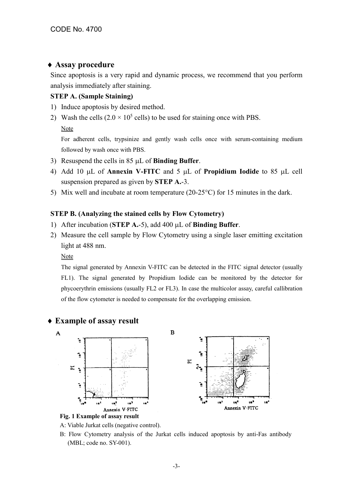## ♦ **Assay procedure**

Since apoptosis is a very rapid and dynamic process, we recommend that you perform analysis immediately after staining.

#### **STEP A. (Sample Staining)**

- 1) Induce apoptosis by desired method.
- 2) Wash the cells  $(2.0 \times 10^5 \text{ cells})$  to be used for staining once with PBS.

#### Note

For adherent cells, trypsinize and gently wash cells once with serum-containing medium followed by wash once with PBS.

- 3) Resuspend the cells in 85 µL of **Binding Buffer**.
- 4) Add 10 µL of **Annexin V-FITC** and 5 µL of **Propidium Iodide** to 85 µL cell suspension prepared as given by **STEP A.**-3.
- 5) Mix well and incubate at room temperature (20-25°C) for 15 minutes in the dark.

#### **STEP B. (Analyzing the stained cells by Flow Cytometry)**

- 1) After incubation (**STEP A.**-5), add 400 µL of **Binding Buffer**.
- 2) Measure the cell sample by Flow Cytometry using a single laser emitting excitation light at 488 nm.

#### Note

The signal generated by Annexin V-FITC can be detected in the FITC signal detector (usually FL1). The signal generated by Propidium Iodide can be monitored by the detector for phycoerythrin emissions (usually FL2 or FL3). In case the multicolor assay, careful callibration of the flow cytometer is needed to compensate for the overlapping emission.

# ♦ **Example of assay result**



A: Viable Jurkat cells (negative control).

B: Flow Cytometry analysis of the Jurkat cells induced apoptosis by anti-Fas antibody (MBL; code no. SY-001).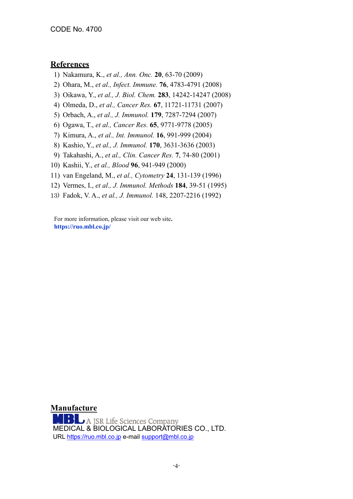## **References**

1) Nakamura, K., *et al., Ann. Onc.* **20**, 63-70 (2009)

- 2) Ohara, M., *et al., Infect. Immune.* **76**, 4783-4791 (2008)
- 3) Oikawa, Y., *et al., J. Biol. Chem.* **283**, 14242-14247 (2008)
- 4) Olmeda, D., *et al., Cancer Res.* **67**, 11721-11731 (2007)
- 5) Orbach, A., *et al., J. Immunol.* **179**, 7287-7294 (2007)
- 6) Ogawa, T., *et al., Cancer Res.* **65**, 9771-9778 (2005)
- 7) Kimura, A., *et al., Int. Immunol.* **16**, 991-999 (2004)
- 8) Kashio, Y., *et al., J. Immunol.* **170**, 3631-3636 (2003)
- 9) Takahashi, A., *et al., Clin. Cancer Res.* **7**, 74-80 (2001)
- 10) Kashii, Y., *et al., Blood* **96**, 941-949 (2000)
- 11) van Engeland, M., *et al., Cytometry* **24**, 131-139 (1996)
- 12) Vermes, I., *et al., J. Immunol. Methods* **184**, 39-51 (1995)
- 13) Fadok, V. A., *et al., J. Immunol.* 148, 2207-2216 (1992)

For more information, please visit our web site**. https://ruo.mbl.co.jp/**

**Manufacture MBL** A JSR Life Sciences Company<br>MEDICAL & BIOLOGICAL LABORATORIES CO., LTD. URL [https://ruo.mbl.co.jp](https://ruo.mbl.co.jp/) e-mail [support@mbl.co.jp](mailto:support@mbl.co.jp)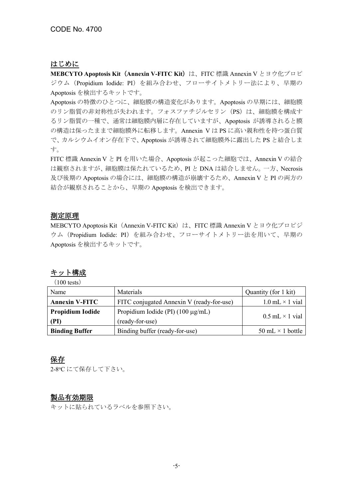## はじめに

**MEBCYTO Apoptosis Kit (Annexin V-FITC Kit) は、FITC 標識 Annexin V とヨウ化プロピ** ジウム(Propidium Iodide: PI)を組み合わせ、フローサイトメトリー法により、早期の Apoptosis を検出するキットです。

Apoptosis の特徴のひとつに、細胞膜の構造変化があります。Apoptosis の早期には、細胞膜 のリン脂質の非対称性が失われます。フォスファチジルセリン (PS) は、細胞膜を構成す るリン脂質の一種で、通常は細胞膜内層に存在していますが、Apoptosis が誘導されると膜 の構造は保ったままで細胞膜外に転移します。Annexin V は PS に高い親和性を持つ蛋白質 で、カルシウムイオン存在下で、Apoptosis が誘導されて細胞膜外に露出した PS と結合しま す。

FITC 標識 Annexin V と PI を用いた場合、Apoptosis が起こった細胞では、Annexin V の結合 は観察されますが、細胞膜は保たれているため、PI と DNA は結合しません。一方、Necrosis 及び後期の Apoptosis の場合には、細胞膜の構造が崩壊するため、Annexin V と PI の両方の 結合が観察されることから、早期の Apoptosis を検出できます。

#### 測定原理

MEBCYTO Apoptosis Kit (Annexin V-FITC Kit) は、FITC 標識 Annexin V とヨウ化プロピジ ウム(Propidium Iodide: PI)を組み合わせ、フローサイトメトリー法を用いて、早期の Apoptosis を検出するキットです。

# キット構成

(100 tests)

| Name                    | <b>Materials</b>                          | Quantity (for 1 kit)     |  |
|-------------------------|-------------------------------------------|--------------------------|--|
| <b>Annexin V-FITC</b>   | FITC conjugated Annexin V (ready-for-use) | $1.0$ mL $\times$ 1 vial |  |
| <b>Propidium Iodide</b> | Propidium Iodide (PI) $(100 \mu g/mL)$    | $0.5$ mL $\times$ 1 vial |  |
| (PI)                    | (ready-for-use)                           |                          |  |
| <b>Binding Buffer</b>   | Binding buffer (ready-for-use)            | 50 mL $\times$ 1 bottle  |  |

## 保存

2-8oC にて保存して下さい。

## 製品有効期限

キットに貼られているラベルを参照下さい。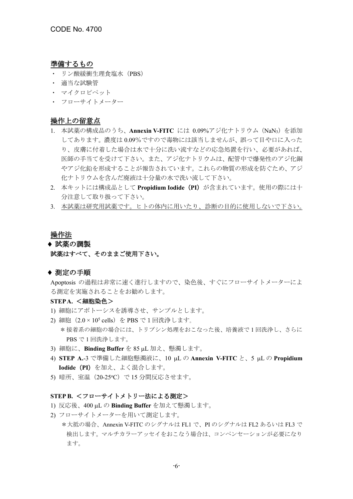#### 準備するもの

- ・ リン酸緩衝生理食塩水(PBS)
- ・ 適当な試験管
- ・ マイクロピペット
- ・ フローサイトメーター

#### 操作上の留意点

- 1. 本試薬の構成品のうち、**Annexin V-FITC** には 0.09%アジ化ナトリウム(NaN3)を添加 してあります。濃度は 0.09%ですので毒物には該当しませんが、誤って目や口に入った り、皮膚に付着した場合は水で十分に洗い流すなどの応急処置を行い、必要があれば、 医師の手当てを受けて下さい。また、アジ化ナトリウムは、配管中で爆発性のアジ化銅 やアジ化鉛を形成することが報告されています。これらの物質の形成を防ぐため、アジ 化ナトリウムを含んだ廃液は十分量の水で洗い流して下さい。
- 2. 本キットには構成品として **Propidium Iodide**(**PI**)が含まれています。使用の際には十 分注意して取り扱って下さい。
- 3. 本試薬は研究用試薬です。ヒトの体内に用いたり、診断の目的に使用しないで下さい。

#### 操作法

## ♦ 試薬の調製 試薬はすべて、そのままご使用下さい。

#### ♦ 測定の手順

Apoptosis の過程は非常に速く進行しますので、染色後、すぐにフローサイトメーターによ る測定を実施されることをお勧めします。

#### **STEP A.** <細胞染色>

PBS で 1 回洗浄します。

- 1) 細胞にアポトーシスを誘導させ、サンプルとします。
- 2) 細胞 (2.0×10<sup>5</sup> cells) を PBS で1回洗浄します。 \*接着系の細胞の場合には、トリプシン処理をおこなった後、培養液で 1 回洗浄し、さらに
- 3) 細胞に、**Binding Buffer** を 85 µL 加え、懸濁します。
- 4) **STEP A.**-3 で準備した細胞懸濁液に、10 µL の **Annexin V-FITC** と、5 µL の **Propidium Iodide**(**PI**)を加え、よく混合します。
- 5) 暗所、室温(20−25℃)で 15 分間反応させます。

#### **STEP B.** <フローサイトメトリー法による測定>

- 1) 反応後、400 µL の **Binding Buffer** を加えて懸濁します。
- 2) フローサイトメーターを用いて測定します。
	- \*大抵の場合、Annexin V-FITC のシグナルは FL1 で、PI のシグナルは FL2 あるいは FL3 で 検出します。マルチカラーアッセイをおこなう場合は、コンペンセーションが必要になり ます。